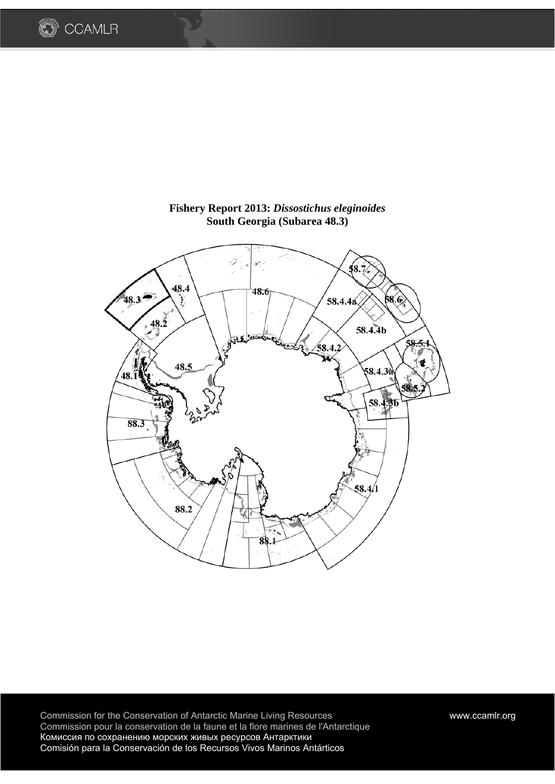



**Fishery Report 2013:** *Dissostichus eleginoides*  **South Georgia (Subarea 48.3)** 

Commission for the Conservation of Antarctic Marine Living Resources www.ccamlr.org Commission pour la conservation de la faune et la flore marines de l'Antarctique Комиссия по сохранению морских живых ресурсов Антарктики Comisión para la Conservación de los Recursos Vivos Marinos Antárticos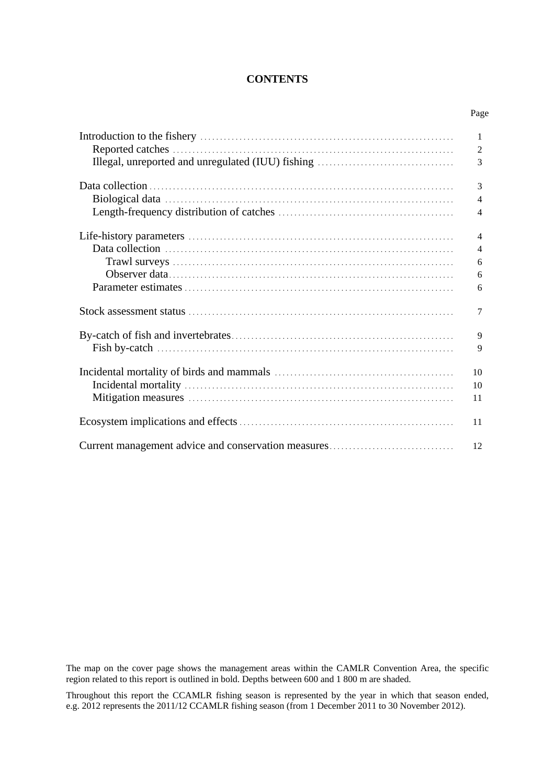## **CONTENTS**

Page

| 1              |
|----------------|
| $\overline{2}$ |
| 3              |
| 3              |
| $\overline{4}$ |
| $\overline{4}$ |
| $\overline{4}$ |
| 4              |
| 6              |
| 6              |
| 6              |
| 7              |
| 9              |
| 9              |
| 10             |
| 10             |
| 11             |
| 11             |
| 12             |

The map on the cover page shows the management areas within the CAMLR Convention Area, the specific region related to this report is outlined in bold. Depths between 600 and 1 800 m are shaded.

Throughout this report the CCAMLR fishing season is represented by the year in which that season ended, e.g. 2012 represents the 2011/12 CCAMLR fishing season (from 1 December 2011 to 30 November 2012).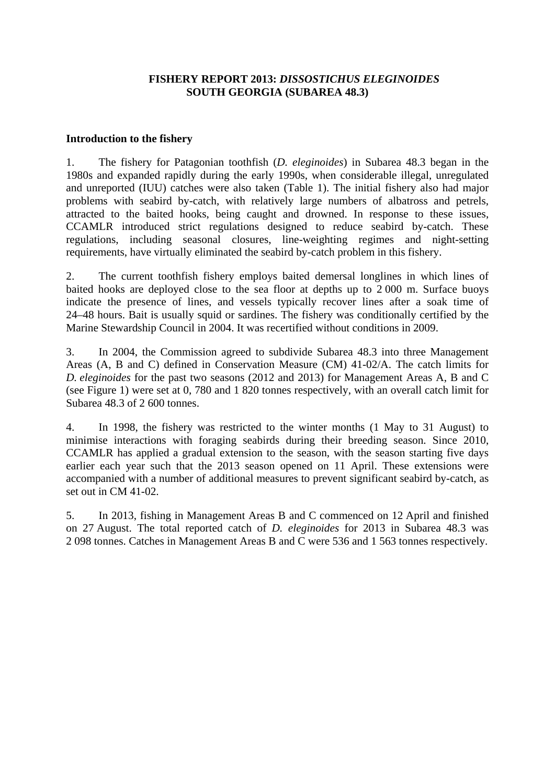## **FISHERY REPORT 2013:** *DISSOSTICHUS ELEGINOIDES* **SOUTH GEORGIA (SUBAREA 48.3)**

### **Introduction to the fishery**

1. The fishery for Patagonian toothfish (*D. eleginoides*) in Subarea 48.3 began in the 1980s and expanded rapidly during the early 1990s, when considerable illegal, unregulated and unreported (IUU) catches were also taken (Table 1). The initial fishery also had major problems with seabird by-catch, with relatively large numbers of albatross and petrels, attracted to the baited hooks, being caught and drowned. In response to these issues, CCAMLR introduced strict regulations designed to reduce seabird by-catch. These regulations, including seasonal closures, line-weighting regimes and night-setting requirements, have virtually eliminated the seabird by-catch problem in this fishery.

2. The current toothfish fishery employs baited demersal longlines in which lines of baited hooks are deployed close to the sea floor at depths up to 2 000 m. Surface buoys indicate the presence of lines, and vessels typically recover lines after a soak time of 24–48 hours. Bait is usually squid or sardines. The fishery was conditionally certified by the Marine Stewardship Council in 2004. It was recertified without conditions in 2009.

3. In 2004, the Commission agreed to subdivide Subarea 48.3 into three Management Areas (A, B and C) defined in Conservation Measure (CM) 41-02/A. The catch limits for *D. eleginoides* for the past two seasons (2012 and 2013) for Management Areas A, B and C (see Figure 1) were set at 0, 780 and 1 820 tonnes respectively, with an overall catch limit for Subarea 48.3 of 2 600 tonnes.

4. In 1998, the fishery was restricted to the winter months (1 May to 31 August) to minimise interactions with foraging seabirds during their breeding season. Since 2010, CCAMLR has applied a gradual extension to the season, with the season starting five days earlier each year such that the 2013 season opened on 11 April. These extensions were accompanied with a number of additional measures to prevent significant seabird by-catch, as set out in CM 41-02.

5. In 2013, fishing in Management Areas B and C commenced on 12 April and finished on 27 August. The total reported catch of *D. eleginoides* for 2013 in Subarea 48.3 was 2 098 tonnes. Catches in Management Areas B and C were 536 and 1 563 tonnes respectively.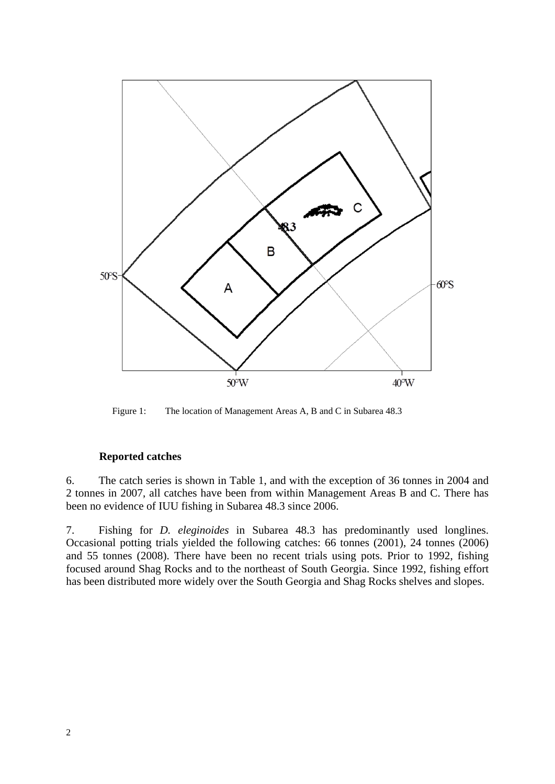

Figure 1: The location of Management Areas A, B and C in Subarea 48.3

# **Reported catches**

6. The catch series is shown in Table 1, and with the exception of 36 tonnes in 2004 and 2 tonnes in 2007, all catches have been from within Management Areas B and C. There has been no evidence of IUU fishing in Subarea 48.3 since 2006.

7. Fishing for *D. eleginoides* in Subarea 48.3 has predominantly used longlines. Occasional potting trials yielded the following catches: 66 tonnes (2001), 24 tonnes (2006) and 55 tonnes (2008). There have been no recent trials using pots. Prior to 1992, fishing focused around Shag Rocks and to the northeast of South Georgia. Since 1992, fishing effort has been distributed more widely over the South Georgia and Shag Rocks shelves and slopes.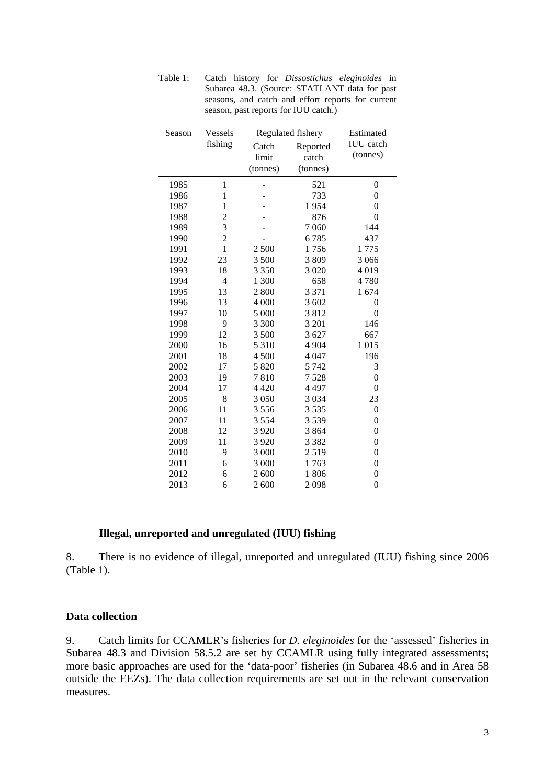| Season | <b>Vessels</b> |          | Regulated fishery | Estimated        |
|--------|----------------|----------|-------------------|------------------|
|        | fishing        | Catch    | Reported          | <b>IUU</b> catch |
|        |                | limit    | catch             | (tonnes)         |
|        |                | (tonnes) | (tonnes)          |                  |
| 1985   | $\mathbf{1}$   |          | 521               | $\boldsymbol{0}$ |
| 1986   | $\mathbf{1}$   |          | 733               | $\boldsymbol{0}$ |
| 1987   | $\mathbf{1}$   |          | 1954              | $\boldsymbol{0}$ |
| 1988   | $\overline{c}$ |          | 876               | $\boldsymbol{0}$ |
| 1989   | 3              |          | 7 0 6 0           | 144              |
| 1990   | $\overline{c}$ |          | 6785              | 437              |
| 1991   | $\mathbf{1}$   | 2 500    | 1756              | 1775             |
| 1992   | 23             | 3 500    | 3809              | 3 0 6 6          |
| 1993   | 18             | 3 3 5 0  | 3 0 20            | 4019             |
| 1994   | 4              | 1 300    | 658               | 4780             |
| 1995   | 13             | 2800     | 3 3 7 1           | 1674             |
| 1996   | 13             | 4 000    | 3 602             | $\mathbf{0}$     |
| 1997   | 10             | 5 000    | 3812              | $\boldsymbol{0}$ |
| 1998   | 9              | 3 300    | 3 2 0 1           | 146              |
| 1999   | 12             | 3 500    | 3 627             | 667              |
| 2000   | 16             | 5 3 1 0  | 4 9 0 4           | 1015             |
| 2001   | 18             | 4500     | 4 0 4 7           | 196              |
| 2002   | 17             | 5 8 20   | 5 7 4 2           | 3                |
| 2003   | 19             | 7810     | 7528              | $\mathbf{0}$     |
| 2004   | 17             | 4 4 2 0  | 4 4 9 7           | $\boldsymbol{0}$ |
| 2005   | 8              | 3 0 5 0  | 3 0 3 4           | 23               |
| 2006   | 11             | 3556     | 3 5 3 5           | $\overline{0}$   |
| 2007   | 11             | 3 5 5 4  | 3539              | $\overline{0}$   |
| 2008   | 12             | 3 9 20   | 3864              | $\boldsymbol{0}$ |
| 2009   | 11             | 3 9 20   | 3 3 8 2           | $\boldsymbol{0}$ |
| 2010   | 9              | 3 000    | 2519              | $\boldsymbol{0}$ |
| 2011   | 6              | 3 000    | 1763              | $\boldsymbol{0}$ |
| 2012   | 6              | 2600     | 1806              | $\boldsymbol{0}$ |
| 2013   | 6              | 2 600    | 2098              | $\overline{0}$   |

Table 1: Catch history for *Dissostichus eleginoides* in Subarea 48.3. (Source: STATLANT data for past seasons, and catch and effort reports for current season, past reports for IUU catch.)

## **Illegal, unreported and unregulated (IUU) fishing**

8. There is no evidence of illegal, unreported and unregulated (IUU) fishing since 2006 (Table 1).

### **Data collection**

9. Catch limits for CCAMLR's fisheries for *D. eleginoides* for the 'assessed' fisheries in Subarea 48.3 and Division 58.5.2 are set by CCAMLR using fully integrated assessments; more basic approaches are used for the 'data-poor' fisheries (in Subarea 48.6 and in Area 58 outside the EEZs). The data collection requirements are set out in the relevant conservation measures.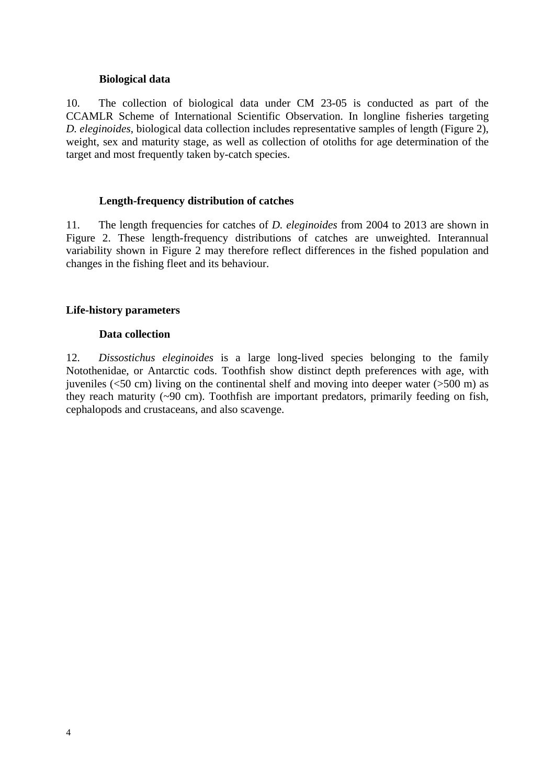### **Biological data**

10. The collection of biological data under CM 23-05 is conducted as part of the CCAMLR Scheme of International Scientific Observation. In longline fisheries targeting *D. eleginoides*, biological data collection includes representative samples of length (Figure 2), weight, sex and maturity stage, as well as collection of otoliths for age determination of the target and most frequently taken by-catch species.

### **Length-frequency distribution of catches**

11. The length frequencies for catches of *D. eleginoides* from 2004 to 2013 are shown in Figure 2. These length-frequency distributions of catches are unweighted. Interannual variability shown in Figure 2 may therefore reflect differences in the fished population and changes in the fishing fleet and its behaviour.

# **Life-history parameters**

### **Data collection**

12. *Dissostichus eleginoides* is a large long-lived species belonging to the family Notothenidae, or Antarctic cods. Toothfish show distinct depth preferences with age, with juveniles ( $\leq$ 50 cm) living on the continental shelf and moving into deeper water ( $>$ 500 m) as they reach maturity (~90 cm). Toothfish are important predators, primarily feeding on fish, cephalopods and crustaceans, and also scavenge.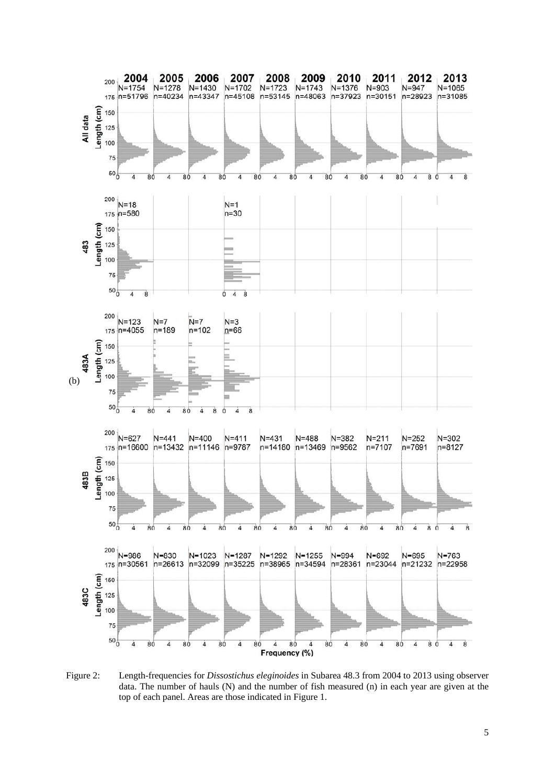

Figure 2: Length-frequencies for *Dissostichus eleginoides* in Subarea 48.3 from 2004 to 2013 using observer data. The number of hauls (N) and the number of fish measured (n) in each year are given at the top of each panel. Areas are those indicated in Figure 1.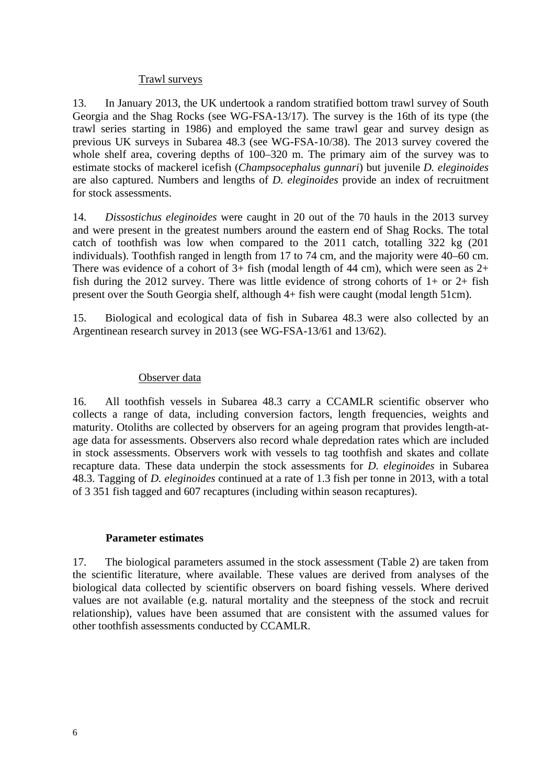## Trawl surveys

13. In January 2013, the UK undertook a random stratified bottom trawl survey of South Georgia and the Shag Rocks (see WG-FSA-13/17). The survey is the 16th of its type (the trawl series starting in 1986) and employed the same trawl gear and survey design as previous UK surveys in Subarea 48.3 (see WG-FSA-10/38). The 2013 survey covered the whole shelf area, covering depths of  $100-320$  m. The primary aim of the survey was to estimate stocks of mackerel icefish (*Champsocephalus gunnari*) but juvenile *D. eleginoides* are also captured. Numbers and lengths of *D. eleginoides* provide an index of recruitment for stock assessments.

14. *Dissostichus eleginoides* were caught in 20 out of the 70 hauls in the 2013 survey and were present in the greatest numbers around the eastern end of Shag Rocks. The total catch of toothfish was low when compared to the 2011 catch, totalling 322 kg (201 individuals). Toothfish ranged in length from 17 to 74 cm, and the majority were 40–60 cm. There was evidence of a cohort of  $3+$  fish (modal length of 44 cm), which were seen as  $2+$ fish during the 2012 survey. There was little evidence of strong cohorts of  $1+$  or  $2+$  fish present over the South Georgia shelf, although 4+ fish were caught (modal length 51cm).

15. Biological and ecological data of fish in Subarea 48.3 were also collected by an Argentinean research survey in 2013 (see WG-FSA-13/61 and 13/62).

## Observer data

16. All toothfish vessels in Subarea 48.3 carry a CCAMLR scientific observer who collects a range of data, including conversion factors, length frequencies, weights and maturity. Otoliths are collected by observers for an ageing program that provides length-atage data for assessments. Observers also record whale depredation rates which are included in stock assessments. Observers work with vessels to tag toothfish and skates and collate recapture data. These data underpin the stock assessments for *D. eleginoides* in Subarea 48.3. Tagging of *D. eleginoides* continued at a rate of 1.3 fish per tonne in 2013, with a total of 3 351 fish tagged and 607 recaptures (including within season recaptures).

## **Parameter estimates**

17. The biological parameters assumed in the stock assessment (Table 2) are taken from the scientific literature, where available. These values are derived from analyses of the biological data collected by scientific observers on board fishing vessels. Where derived values are not available (e.g. natural mortality and the steepness of the stock and recruit relationship), values have been assumed that are consistent with the assumed values for other toothfish assessments conducted by CCAMLR.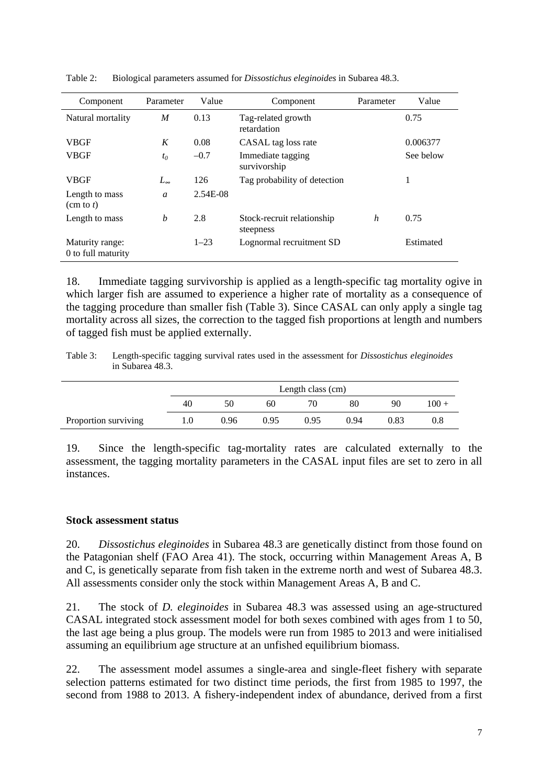| Component                             | Parameter      | Value    | Component                               | Parameter | Value     |
|---------------------------------------|----------------|----------|-----------------------------------------|-----------|-----------|
| Natural mortality                     | M              | 0.13     | Tag-related growth<br>retardation       |           | 0.75      |
| <b>VBGF</b>                           | K              | 0.08     | CASAL tag loss rate                     |           | 0.006377  |
| <b>VBGF</b>                           | $t_0$          | $-0.7$   | Immediate tagging<br>survivorship       |           | See below |
| <b>VBGF</b>                           | $L_{\infty}$   | 126      | Tag probability of detection            |           |           |
| Length to mass<br>$(\text{cm to } t)$ | $\mathfrak{a}$ | 2.54E-08 |                                         |           |           |
| Length to mass                        | b              | 2.8      | Stock-recruit relationship<br>steepness | h         | 0.75      |
| Maturity range:<br>0 to full maturity |                | $1 - 23$ | Lognormal recruitment SD                |           | Estimated |

Table 2: Biological parameters assumed for *Dissostichus eleginoides* in Subarea 48.3.

18. Immediate tagging survivorship is applied as a length-specific tag mortality ogive in which larger fish are assumed to experience a higher rate of mortality as a consequence of the tagging procedure than smaller fish (Table 3). Since CASAL can only apply a single tag mortality across all sizes, the correction to the tagged fish proportions at length and numbers of tagged fish must be applied externally.

Table 3: Length-specific tagging survival rates used in the assessment for *Dissostichus eleginoides*  in Subarea 48.3.

|                      |     | Length class (cm) |      |      |      |      |         |
|----------------------|-----|-------------------|------|------|------|------|---------|
|                      | 40  | 50                | 60   | 70   | 80   | 90   | $100 +$ |
| Proportion surviving | 1.0 | 0.96              | 0.95 | 0.95 | 0.94 | 0.83 | 0.8     |

19. Since the length-specific tag-mortality rates are calculated externally to the assessment, the tagging mortality parameters in the CASAL input files are set to zero in all instances.

## **Stock assessment status**

20. *Dissostichus eleginoides* in Subarea 48.3 are genetically distinct from those found on the Patagonian shelf (FAO Area 41). The stock, occurring within Management Areas A, B and C, is genetically separate from fish taken in the extreme north and west of Subarea 48.3. All assessments consider only the stock within Management Areas A, B and C.

21. The stock of *D. eleginoides* in Subarea 48.3 was assessed using an age-structured CASAL integrated stock assessment model for both sexes combined with ages from 1 to 50, the last age being a plus group. The models were run from 1985 to 2013 and were initialised assuming an equilibrium age structure at an unfished equilibrium biomass.

22. The assessment model assumes a single-area and single-fleet fishery with separate selection patterns estimated for two distinct time periods, the first from 1985 to 1997, the second from 1988 to 2013. A fishery-independent index of abundance, derived from a first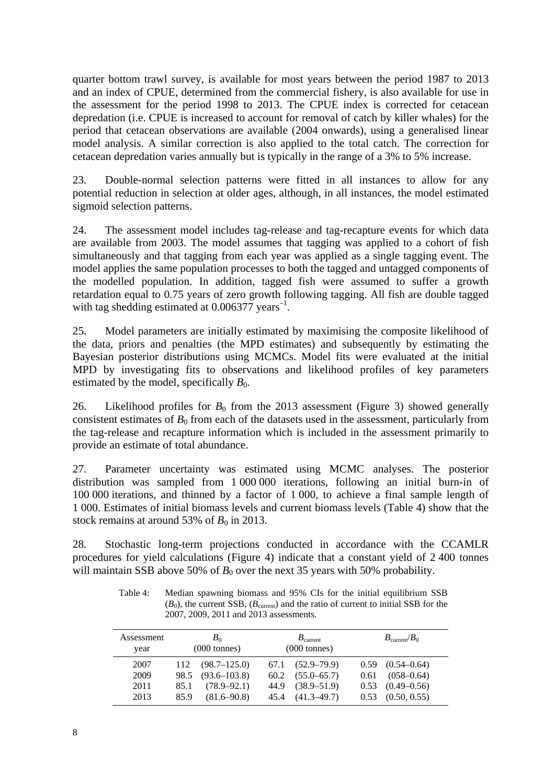quarter bottom trawl survey, is available for most years between the period 1987 to 2013 and an index of CPUE, determined from the commercial fishery, is also available for use in the assessment for the period 1998 to 2013. The CPUE index is corrected for cetacean depredation (i.e. CPUE is increased to account for removal of catch by killer whales) for the period that cetacean observations are available (2004 onwards), using a generalised linear model analysis. A similar correction is also applied to the total catch. The correction for cetacean depredation varies annually but is typically in the range of a 3% to 5% increase.

23. Double-normal selection patterns were fitted in all instances to allow for any potential reduction in selection at older ages, although, in all instances, the model estimated sigmoid selection patterns.

24. The assessment model includes tag-release and tag-recapture events for which data are available from 2003. The model assumes that tagging was applied to a cohort of fish simultaneously and that tagging from each year was applied as a single tagging event. The model applies the same population processes to both the tagged and untagged components of the modelled population. In addition, tagged fish were assumed to suffer a growth retardation equal to 0.75 years of zero growth following tagging. All fish are double tagged with tag shedding estimated at  $0.006377$  years<sup>-1</sup>.

25. Model parameters are initially estimated by maximising the composite likelihood of the data, priors and penalties (the MPD estimates) and subsequently by estimating the Bayesian posterior distributions using MCMCs. Model fits were evaluated at the initial MPD by investigating fits to observations and likelihood profiles of key parameters estimated by the model, specifically  $B_0$ .

26. Likelihood profiles for  $B_0$  from the 2013 assessment (Figure 3) showed generally consistent estimates of  $B_0$  from each of the datasets used in the assessment, particularly from the tag-release and recapture information which is included in the assessment primarily to provide an estimate of total abundance.

27. Parameter uncertainty was estimated using MCMC analyses. The posterior distribution was sampled from 1 000 000 iterations, following an initial burn-in of 100 000 iterations, and thinned by a factor of 1 000, to achieve a final sample length of 1 000. Estimates of initial biomass levels and current biomass levels (Table 4) show that the stock remains at around 53% of  $B_0$  in 2013.

28. Stochastic long-term projections conducted in accordance with the CCAMLR procedures for yield calculations (Figure 4) indicate that a constant yield of 2 400 tonnes will maintain SSB above 50% of  $B_0$  over the next 35 years with 50% probability.

| Assessment<br>year |      | $B_0$<br>$(000 \text{ tonnes})$ |      | $B_{\text{current}}$<br>$(000 \text{ tonnes})$ |      | $B_{\text{current}}/B_0$ |
|--------------------|------|---------------------------------|------|------------------------------------------------|------|--------------------------|
| 2007               | 112  | $(98.7 - 125.0)$                | 67.1 | $(52.9 - 79.9)$                                |      | $0.59$ $(0.54-0.64)$     |
| 2009               | 98.5 | $(93.6 - 103.8)$                | 60.2 | $(55.0 - 65.7)$                                | 0.61 | $(058 - 0.64)$           |
| 2011               | 85.1 | $(78.9 - 92.1)$                 | 44.9 | $(38.9 - 51.9)$                                | 0.53 | $(0.49 - 0.56)$          |
| 2013               | 85.9 | $(81.6 - 90.8)$                 | 45.4 | $(41.3 - 49.7)$                                | 0.53 | (0.50, 0.55)             |

Table 4: Median spawning biomass and 95% CIs for the initial equilibrium SSB  $(B_0)$ , the current SSB,  $(B_{\text{current}})$  and the ratio of current to initial SSB for the 2007, 2009, 2011 and 2013 assessments.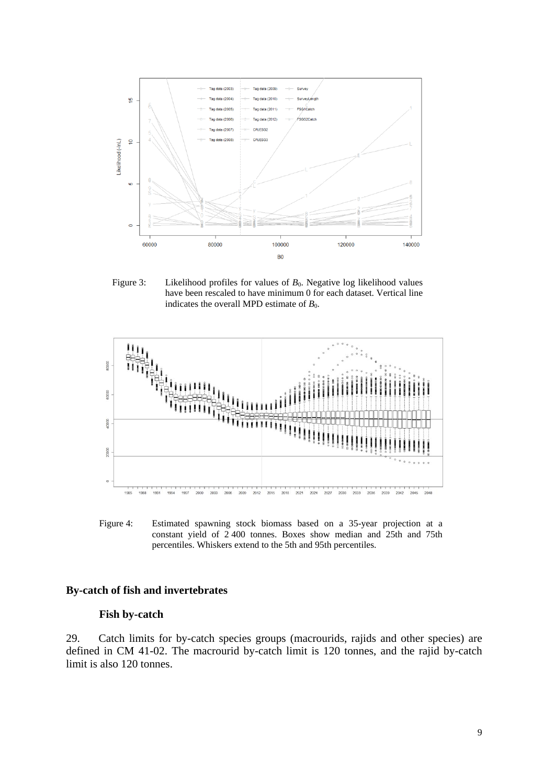

Figure 3: Likelihood profiles for values of  $B_0$ . Negative log likelihood values have been rescaled to have minimum 0 for each dataset. Vertical line indicates the overall MPD estimate of  $B_0$ .



Figure 4: Estimated spawning stock biomass based on a 35-year projection at a constant yield of 2 400 tonnes. Boxes show median and 25th and 75th percentiles. Whiskers extend to the 5th and 95th percentiles.

### **By-catch of fish and invertebrates**

#### **Fish by-catch**

29. Catch limits for by-catch species groups (macrourids, rajids and other species) are defined in CM 41-02. The macrourid by-catch limit is 120 tonnes, and the rajid by-catch limit is also 120 tonnes.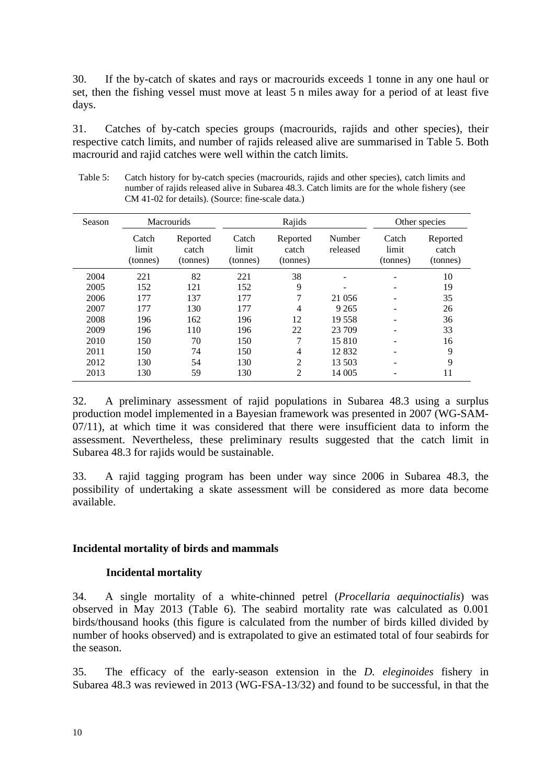30. If the by-catch of skates and rays or macrourids exceeds 1 tonne in any one haul or set, then the fishing vessel must move at least 5 n miles away for a period of at least five days.

31. Catches of by-catch species groups (macrourids, rajids and other species), their respective catch limits, and number of rajids released alive are summarised in Table 5. Both macrourid and rajid catches were well within the catch limits.

|        |                            | CM 41-02 for details). (Source: fine-scale data.) |                            |                               |                    |                            |                               |
|--------|----------------------------|---------------------------------------------------|----------------------------|-------------------------------|--------------------|----------------------------|-------------------------------|
| Season |                            | <b>Macrourids</b>                                 |                            | Rajids                        |                    |                            | Other species                 |
|        | Catch<br>limit<br>(tonnes) | Reported<br>catch<br>(tonnes)                     | Catch<br>limit<br>(tonnes) | Reported<br>catch<br>(tonnes) | Number<br>released | Catch<br>limit<br>(tonnes) | Reported<br>catch<br>(tonnes) |
| 2004   | 221                        | 82                                                | 221                        | 38                            |                    |                            | 10                            |
| 2005   | 152                        | 121                                               | 152                        | 9                             |                    |                            | 19                            |
| 2006   | 177                        | 137                                               | 177                        | 7                             | 21 0 56            |                            | 35                            |
| 2007   | 177                        | 130                                               | 177                        | 4                             | 9 2 6 5            |                            | 26                            |
| 2008   | 196                        | 162                                               | 196                        | 12                            | 19 558             |                            | 36                            |
| 2009   | 196                        | 110                                               | 196                        | 22                            | 23 709             |                            | 33                            |

2010 150 70 150 7 15 810 - 16 2011 150 74 150 4 12 832 - 9 2012 130 54 130 2 13 503 - 9 2013 130 59 130 2 14 005 - 11

Table 5: Catch history for by-catch species (macrourids, rajids and other species), catch limits and number of rajids released alive in Subarea 48.3. Catch limits are for the whole fishery (see

32. A preliminary assessment of rajid populations in Subarea 48.3 using a surplus production model implemented in a Bayesian framework was presented in 2007 (WG-SAM-07/11), at which time it was considered that there were insufficient data to inform the assessment. Nevertheless, these preliminary results suggested that the catch limit in Subarea 48.3 for rajids would be sustainable.

33. A rajid tagging program has been under way since 2006 in Subarea 48.3, the possibility of undertaking a skate assessment will be considered as more data become available.

#### **Incidental mortality of birds and mammals**

#### **Incidental mortality**

34. A single mortality of a white-chinned petrel (*Procellaria aequinoctialis*) was observed in May 2013 (Table 6). The seabird mortality rate was calculated as 0.001 birds/thousand hooks (this figure is calculated from the number of birds killed divided by number of hooks observed) and is extrapolated to give an estimated total of four seabirds for the season.

35. The efficacy of the early-season extension in the *D. eleginoides* fishery in Subarea 48.3 was reviewed in 2013 (WG-FSA-13/32) and found to be successful, in that the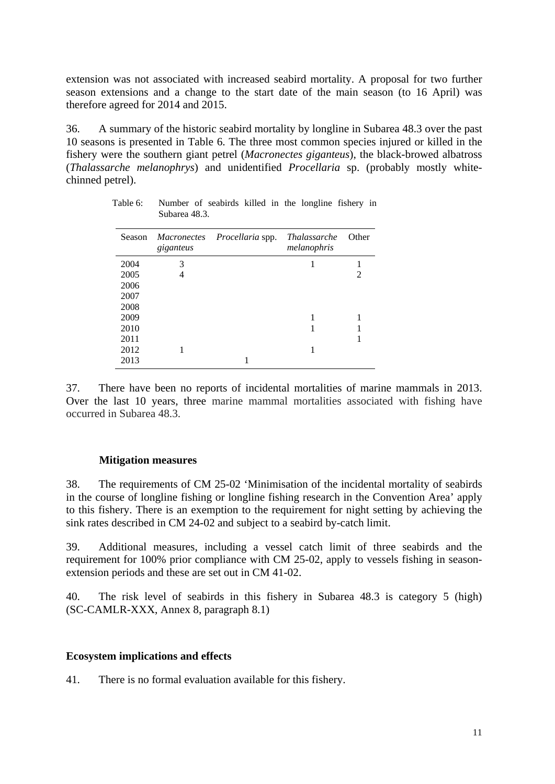extension was not associated with increased seabird mortality. A proposal for two further season extensions and a change to the start date of the main season (to 16 April) was therefore agreed for 2014 and 2015.

36. A summary of the historic seabird mortality by longline in Subarea 48.3 over the past 10 seasons is presented in Table 6. The three most common species injured or killed in the fishery were the southern giant petrel (*Macronectes giganteus*), the black-browed albatross (*Thalassarche melanophrys*) and unidentified *Procellaria* sp. (probably mostly whitechinned petrel).

| Season | giganteus | Macronectes Procellaria spp. | <i>Thalassarche</i><br>melanophris | Other                       |
|--------|-----------|------------------------------|------------------------------------|-----------------------------|
| 2004   | 3         |                              |                                    |                             |
| 2005   | 4         |                              |                                    | $\mathcal{D}_{\mathcal{A}}$ |
| 2006   |           |                              |                                    |                             |
| 2007   |           |                              |                                    |                             |
| 2008   |           |                              |                                    |                             |
| 2009   |           |                              |                                    |                             |
| 2010   |           |                              |                                    |                             |
| 2011   |           |                              |                                    |                             |
| 2012   |           |                              |                                    |                             |
| 2013   |           |                              |                                    |                             |

Table 6: Number of seabirds killed in the longline fishery in Subarea 48.3.

37. There have been no reports of incidental mortalities of marine mammals in 2013. Over the last 10 years, three marine mammal mortalities associated with fishing have occurred in Subarea 48.3.

#### **Mitigation measures**

38. The requirements of CM 25-02 'Minimisation of the incidental mortality of seabirds in the course of longline fishing or longline fishing research in the Convention Area' apply to this fishery. There is an exemption to the requirement for night setting by achieving the sink rates described in CM 24-02 and subject to a seabird by-catch limit.

39. Additional measures, including a vessel catch limit of three seabirds and the requirement for 100% prior compliance with CM 25-02, apply to vessels fishing in seasonextension periods and these are set out in CM 41-02.

40. The risk level of seabirds in this fishery in Subarea 48.3 is category 5 (high) (SC-CAMLR-XXX, Annex 8, paragraph 8.1)

#### **Ecosystem implications and effects**

41. There is no formal evaluation available for this fishery.